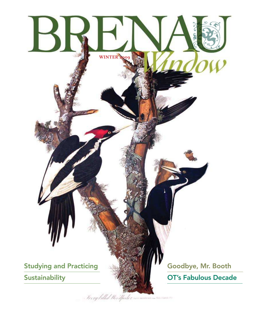

Ferglillal that the alpicker we assume the same is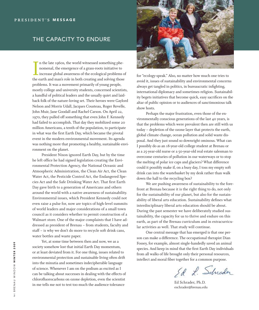### THE CAPACITY TO ENDURE

In the late 1960s, the world witnessed something phenomenal, the emergence of a grass-roots initiative to increase global awareness of the ecological problems of the earth and man's role in both creating and solving those n the late 1960s, the world witnessed something phenomenal, the emergence of a grass-roots initiative to increase global awareness of the ecological problems of problems. It was a movement primarily of young people, mostly college and university students, concerned scientists, a handful of political leaders and the usually quiet and laidback folk of the nature-loving set. Their heroes were Gaylord Nelson and Morris Udall, Jacques Cousteau, Roger Revelle, John Muir, Jane Goodall and Rachel Carson. On April 22, 1970, they pulled off something that even John F. Kennedy had failed to accomplish. That day they mobilized some 20 million Americans, a tenth of the population, to participate in what was the first Earth Day, which became the pivotal event in the modern environmental movement. Its agenda was nothing more that promoting a healthy, sustainable environment on the planet.

 President Nixon ignored Earth Day, but by the time he left ofice he had signed legislation creating the Environmental Protection Agency, the National Oceanic and Atmospheric Administration, the Clean Air Act, the Clean Water Act, the Pesticide Control Act, the Endangered Species Act and the Safe Drinking Water Act. That first Earth Day gave birth to a generation of Americans and others around the world with a native awareness of sustainability. Environmental issues, which President Kennedy could not even raise a pulse for, now are topics of high-level summits of world leaders and major considerations of a small town council as it considers whether to permit construction of a Walmart store. One of the major complaints that I have addressed as president of Brenau – from students, faculty and staff – is why we don't do more to recycle soft drink cans, water bottles and waste paper.

 Yet, at some time between then and now, we as a society somehow lost that initial Earth Day momentum, or at least deviated from it. For one thing, issues related to environmental protection and sustainable living often drift into the minutia and sometimes indecipherable language of science. Whenever I am on the podium as excited as I can be talking about successes in dealing with the effects of chloroluorocarbons on ozone depletion, even the scientist in me tells me not to test too much the audience tolerance



for "ecology-speak." Also, no matter how much one tries to avoid it, issues of sustainability and environmental concerns always get tangled in politics, in bureaucratic infighting, international diplomacy and sometimes religion. Sustainability begets initiatives that become quick, easy sacrifices on the altar of public opinion or to audiences of sanctimonious talk show hosts.

 Perhaps the major frustration, even those of the environmentally conscious generations of the last 40 years, is that the problems which were prevalent then are still with us today – depletion of the ozone layer that protects the earth, global climate change, ocean pollution and solid waste disposal. And they just sound so downright ominous. What can I possibly do as an 18-year-old college student at Brenau or as a 25-year-old nurse or a 50-year-old real estate salesman to overcome centuries of pollution in our waterways or to stop the melting of polar ice caps and glaciers? What difference could it possibly make if, on a busy day, I toss my empty soft drink can into the wastebasket by my desk rather than walk down the hall to the recycling box?

 We are pushing awareness of sustainability to the forefront at Brenau because it is the right thing to do, not only for the sustainability of our planet, but also for the sustainability of liberal arts education. Sustainability defines what interdisciplinary liberal arts education should be about. During the past semester we have deliberately studied sustainability, the capacity for us to thrive and endure on this earth, as part of the Brenau curriculum and in extracurricular activities as well. That study will continue.

 One central message that has emerged is that one person can make a difference. The occupational therapist Dian Fossey, for example, almost single-handedly saved an animal species. And keep in mind that the first Earth Day individuals from all walks of life brought only their personal resources, intellect and moral fiber together for a common purpose.

Ed L. Schrader

Ed Schrader, Ph.D. eschrader@brenau.edu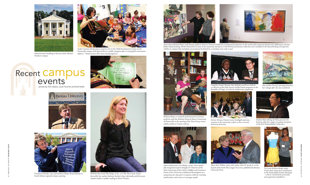BRENAU WINDOW WINTER 2009

2009

WINTER

4



*Administration building at Brenau South Atlanta/ Fairburn campus.*



*Artist Darryl Pottorf shares with Brenau galleries director Vanessa Grubbs his exceptional perspective on the works of his long-time friend and collaborator, the late Robert Rauschenberg. Works Pottorf has on loan to the university and pieces in the Brenau permanent collection were included in the Rauschenberg retrospective Author Carmen Deedy pays a surprise visit to the Child Development Center on the exhibit on campus that included a presentation by Pottorf to a standing-room-only crowd.* 

*President Schrader, top, and Fairburn Mayor Betty Hannah at South Atlanta regional campus opening.*



*With her irst novel* The Help*, at No. 3 on* The New York Times *best-seller list, author Kathryn Stockett chats informally with irst-year students before a public reading at Hosch Theater.*



*Gainesville campus and signs books at a public program after a rousing fall convocation address: "Timid women don't leave lasting legacies."*



*Bethany Havas, a research and instruction assistant, performs with the Alchemy Drum & Dance Community of Gainesville at the opening of the Dian Fossey memorabilia exhibit at Trustee Library.*

# Recent Campus **Exercise** photos by Tom Askew, Louie Favorite and Rudi Kiefer









*First-year fashion design major Travee Rose shows her contribution to the Sustainable Fashion Boutique – a dress created from previously worn garments and fabrics.*



*Dean of Education Lora Bailey, center, hosts nationally recognized experts Douglas H. Clements of the State University of New York in Buffalo and Constance Kamii of the University of Alabama-Birmingham at a symposium for educators to improve skills for teaching mathematics and sciences to younger pupils.*





*One of Dian Fossey's paintings found in her cottage after she was murdered.*



*Congolese leader Mwami Alex Kalinda and Pierre Kakule, co-director of the Dian Fossey Gorilla Fund's programs in the Republic of Congo, at a Pearce Auditorium symposium.*



*Student Shan Zhong of China presents his business plan for a paper recycling enterprise at the irst Sustainability Conference.*



*Former Brenau Trustee Lessie Smithgall expresses surprise as the university confers on her a second honorary doctorate.* 



*Mary Hart Wilheit chats with author John W. Jacobs Jr. at the launch of his book* The Longer You Live*, published by Brenau University Press.*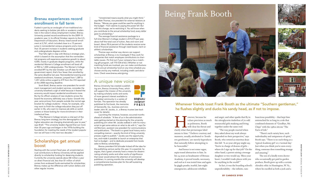BRENAU WINDOW WINTER 2009

OQNIM

6

**BRENAU UNIVERSITY PRESS** 

### Brenau experiences record enrollment in fall term

Fueled in part by an onslaught of non-traditional students seeking to bolster job skills or academic credentials in the nation's dicey employment market, Brenau University posted record enrollments for the 2009-10 academic year. In its official October reports to the U.S. Department of Education, Brenau listed overall enrollment at 2,761, which included close to a 15 percent jump in nonresidential campus programs and a more than 35 percent increase in students seeking graduate and undergraduate degrees online.

 That falls right in step with Brenau's strategic plan, which is based on the assumption that the nonresidential programs will experience explosive growth to about 4,000, mostly in graduate degree programs, while the residential Women's College enrollment will level off at 900 to 1,000 undergraduates. The Women's College enrolled 891 by the late October cut-off date for the government report; that's four fewer than enrolled by the same deadline last year. Nonresidential evening and weekend enrollment, however, jumped from 1,389 to 1,451 while online surged to 419 from the 310 reported at the 2008 reporting deadline.

 Scott Briell, Brenau senior vice president for enrollment management and student services, concedes the university breathed a sigh of relief because it feared the economy would impact residential enrollments more. But by his office's analysis of new students across the board the economy definitely was a factor. Growth this year came primary from people outside the normal age bracket for college students – those, for example, who may want to finish the college education they put off earlier in life, who want to improve job skills or switch careers or those looking for more enrichment in their intellectual lives.

 "The Women's College remains a vital part of the Brenau long-term strategy, but the demographics of higher education are changing dramatically year to year," says Briell. "The university leaders figured that out more than 30 years ago and began in the 1970s building the foundation for meeting the needs of the student population we will have in the next two decades."

# Scholarships get annual boost

Starting with the current fiscal year, all unrestricted annual contributions to Brenau University will be applied directly to scholarship funding for deserving students. Currently the university spends about \$8 million a year on direct financial aid, less than \$1 million of which comes from endowed funds earmarked for scholarships. Brenau makes up the difference with tuition dollars and other regular income.

Now the precision as m<br>
as politeness, Booth<br>
will clear his throat a<br>
clarify what that picturesque label owever, because he values precision as much as politeness, Booth will clear his throat and means to him: "I believe courtesy and manners, usually attributed to 'Southern gentlemen,' are merely byproducts that naturally follow attempting to be honorable."

 "Unrestricted means exactly what you might think," says Matt Thomas, vice president for external relations at Brenau. "Money you gave could be used for anything in the budget – from salaries to paying the power bill. But with this change, we're restricting it. You will know when you contribute to the annual scholarship fund, every dollar goes to scholarships."

> and angst; and other sparks that fly in the nitroglycerin tinderbox of 70-odd resourceful girls studying and living together under the same roof.

 The average financial assistance package to a full-time Women's College student is \$15,575 per year, about half the total cost of tuition, fees and room and board. About 90.6 percent of the students receive some kind of financial assistance through need-based, merit or athletic scholarships.

> In fact, it was the boarding school's unpredictability – the infinite, ram-

 Thomas says another way donors can support scholarships at Brenau is to investigate if they work for companies that match employee contributions to charitable causes. (To find out if your company has a matching gift program, call 770-534-6163.) Whether or not matching funds are involved, you can make contributions to the annual scholarship fund on any time schedule you choose and by any method, including credit card donations. Check www.brenau.edu/giving.

## A unique new voice

Brenau University has created a publishing arm, Brenau University Press, which will support the mission of the university by making scholarly works and works of more general interest available to the global community in a variety of formats. The operation has already published its first book, the memories of Gainesville, Ga., business and civic

leader John W. Jacobs, Jr., a Brenau trustee (see back cover for details).

 Launching the initiative, however, occurred months ahead of schedule. "A few of us in the administration were getting started on the planning for the university publishing arm when Mr. Jacobs walked in with his manuscript to get some advice on what to do with it," says David Morrison, assistant vice president for communications and publications. "The book is a great local history and a compelling memoir – exactly the kind of thing university presses ought to publish." Jacobs saw the opportunity, too, and made it possible to launch an enterprise that had no budget – and to dedicate proceeds from books sales to Brenau scholarships.

 Brenau president Ed Schrader kicked off the idea for the publishing venture earlier this year. It is essential, he argues, that a great university have a means for disseminating scholarly works and other works of significance that never would attract the attention of commercial publishers. In coming months the university will develop a comprehensive business plan for the self-sustaining publishing operation.

 And honor is not some vague, sepia-toned abstraction to him. In his 24 years as headmaster of Brenau Academy, it proved tensile, necessary, and real as it was tested time and again by giggly pranks; tearful, late-night emergencies; adolescent rebellion

 "The way people reacted when they asked about my work always depended on their perspective," says Booth, who retired as emeritus dean this fall. "A 20-year-old guy might say, 'You're in charge of dozens of girls – where do I sign up for that job?' On the other hand, a parent raising a teenage daughter or two would say, 'Bless your heart, I wouldn't trade places with you for anything in the world!'"

bunctious possibility – that kept him entrenched for so long in a role that combined elements of "Goodbye, Mr. Chips" with the 1980s sitcom "The Facts of Life."

 "There's such variety here, such individuality and uniqueness of spirit," Booth says. "There is no such thing as a 'typical Academy girl' or a 'normal day.' Just when you think you've seen everything, someone does something strange and amazing."

 The son of a kindly town doctor who occasionally got paid in garden produce, Booth grew up with a certain chivalric ethic in Huntington, W. Va., where he excelled as both a jock and a

## Whenever friends toast Frank Booth as the ultimate "Southern gentleman," he flushes slightly and ducks his sandy head, as if not to impose.

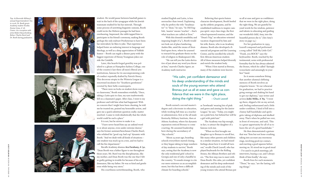student. He would pause between baseball games to wait in the back of the synagogue while his Jewish teammate studied for his bar mitzvah. Through some process of unwitting linguistic osmosis, Booth could recite the Hebrew passages he had been overhearing. Impressed, the rabbi tapped him to participate in his friend's ceremony, making Booth perhaps the only stalwart Presbyterian to have been bar mitzvahed, he likes to joke. That experience helped foster an enduring interest in language and theology, as well as a deep appreciation of Yiddish humor – Booth can regale a dinner party with the biggest repertoire of Henny Youngman jokes out side the Catskills.

 "I have never heard him say an unkind word to or about anyone, even under extreme duress," says his former assistant/henchman Charles Burel, who relished his "good cop, bad cop" dynamic with Booth. "And we dealt with all kinds of situations – one student was stuck up in a tree, and we had to call the fire department."

 Later, this hearth-forged gentility was polished to a gleam at Hampden-Sydney College, one of the country's last three all-men's liberal arts institutions, famous for its uncompromising code of conduct reputedly drafted by Patrick Henry. This decorous utopia in the Wisteria League is a renowned incubator for "Southern gentlemen" coveted by their belle counterparts.

 "There were no locks on student dorm rooms or classrooms," Booth remembers wistfully. "Once, taking a Latin quiz in class, my eyes inadvertently fell on a classmate's paper. After class, I went to my professor and told him what had happened. With no concern that I might have been cheating, he told me he trusted me, praised my honorable action, and gave me a quick substitute question orally; matter resolved. I came to wish idealistically that the whole world could be such a place."

It is not, but he strives to make it so.

 Believing that sports fosters character development, Booth beefed up the athletic programs, and he established traditions to inspire cam pus spirit: onyx class rings; the first school-sponsored reunion; and the "Dean's Trip," an education-oriented vacation chaperoned by him and his wife, Karen, who is an Academy alumna. Booth also developed a financial aid program and the Learning Center, and he enrolled the school's first African-American student. All of these measures helped diversify and enrich the student body. "When I first started at Brenau,

 Recalls Academy alumna **Ava Farahany, A '92**, "Dean Booth was a father figure to me throughout those years. Mr. Burel was the disciplinarian, like my mother, and Dean Booth was the one that I felt so guilty getting in trouble for because of his soft demeanor, like my father. He was so kind and gentle even while being very stern."

His courtliness notwithstanding, Booth, who

studied English and Latin, is less seersucker than tweed. Explaining why he prefers the title "headmaster" to "dean," he says, "In Old English, 'master' means 'teacher' – that's what teachers are called at Eton."

> "When we first brought our daughter up to Brenau to enroll her, like many other parents and children in a similar situation, we had mixed feelings about how it would all turn out," recalls Chuck Leavell, who has played keyboards for the Rolling Stones, the Allman Brothers and oth ers. "The first step was to meet with Dean Booth. His calm, yet confident demeanor and his deep understand ing of the minds and souls of the young women who attend Brenau put

us all at ease and gave us confidence that we were in the right place, doing the right thing. We are grateful be yond words for his wisdom, patience and talents in educating and guiding our wonderful child, Amy, into the beautiful person she is." (See Amy's story on page 19.)

 With this donnish sensibility and imposing height (6'4"), Booth would not look out of place lumbering, Auden-like, amid the swans of Strat ford-upon-Avon, where he yearned to research his graduate thesis on the role of religion in Shakespeare's life.

 "He can tell you the Latin deriva tive of just about any word you throw at him," marvels Charles Agner, an Academy math instructor.

 Booth earned a second master's degree and a doctorate in education, while working full time as a teacher or administrator, first at the all-male Kentucky Military Institute, then at Athens Academy, where his dynamic reputation enticed Brenau to come courting. He assumed leadership here during the ascendancy of "day schools."

So it seems somehow fitting that another alumna's defining memory of Booth involves an etiquette lesson: "At our rehearsal for graduation, we had to practice going onstage and shaking his hand to get our diploma," says writer and actress **Jodie Milks, A '89**. "I went up there, slipped a bit on my arrival, and, feeling embarrassed and a little under-confident, I kind of fell into a clumsy half-handshake and apologetic taking-of-diploma and skulked away. That's when he pulled me over, in front of everyone, and said, 'This is a great opportunity for all of us to learn the art of a good handshake.'"

 "About 25 years ago, boarding schools everywhere started closing, or they began taking in large numbers of day students to survive," Booth says, noting that the Academy is now the only residential girls' school in Georgia and one of only a handful in the country. "It sounds strange to cite our mere existence as an accomplish ment, but this has been a dificult climate for boarding schools."

as 'bowheads' wearing lots of pink and green and aiming for the Junior League," he says. "Today, you might see a pink bow, but behind her will be a girl with pink hair."

 The Academy was hip enough, in fact, to attract the daughter of a famous rock star.

 For her graduation in 1993, Leavell composed and performed a song called "Still My Little Girl." "Frank, you ROCK!" says the keyboardist. Booth, touched by the testimonial, notes with professorial formality that he has always admired the Stones, which he called "daringly iconoclastic and amusingly in-yourface" band.

many of the students were known "His calm, yet confident demeanor and his deep understanding of the minds and souls of the young women who attend Brenau put us all at ease and gave us con fidence that we were in the right place,

> He then demonstrated a gesture that was "firm but not bone-crushing, taking into account any enormous rings, involving good eye contact, and exerting a good squeeze before moving on. It's stood me in good stead – I've used it in pitch meetings, job interviews, buying a car, and I always think of him fondly," she says.

> Booth lives for such moments. "These," he says, "are the lasting, telling things."

# doing the right thing." – Chuck Leavell

*Top: At Riverside Military's annual Superintendent's Tea in 2006, Dr. Booth greets Academy student Yessika Eneme Lima, A '08. Center: At a reception with artist Robert Rauschenberg. Below: Charles Burel and Dr. Booth during graduation.*



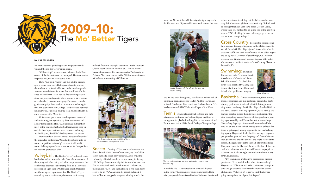**WINTER** WINTER 2009 **2009 BRENA** B R E N A U W I N I N ⇒ NOON 11

No Brenau soccer game begins and no practice ends without the Golden Tigers' ritual chant.

 "Will we stop?" shouts senior defender Innis Ette, owner of the loudest voice on the squad. Her teammates respond: "No, no, we want some mo'!"

 That's "mo" as in "more," and this fall the Brenau sports teams have forged full speed ahead to proving themselves to be formidable foes in the newly expanded 16-team, two-division Southern States Athletic Confer ence. The volleyball team had its first winning season since the program began in 2003, posting a 24-11 record overall and 4-7 in conference play. The soccer team be gan its campaign 8-2-1 with six shutouts – including its first win ever over Berry College – and received national ranking votes. The cross country team finished fourth in an 11-team meet in Marietta.

Volleyball: The Golden Tigers' volleyball team has had what Lochstampfor calls "a whole turnaround of their program" after being picked in the preseason as the conference doormat. Rebounding from an 8-18 overall record and 1-15 in the SSAC last year, coach Meredith Matthews' squad began 2009 8-0. The Golden Tigers started 1-5 in the conference, then came back strong

to finish fourth in the eight-team field. At the Aramark Classic Tournament in Erskine, S.C., seniors Karen Green of Lawrenceville, Ga., and Audra VanArsdale of Pelham, Ala., were named to the All-Tournament team, with Green also earning MVP honors.

 While these sports were winding down, basketball and swimming were gearing up. Four swimmers and a relay team qualified for NAIA nationals in their first meet of the season. The basketball team, competing in only its fourth year, returns seven seniors, including Ashley Hagans, the NAIA's leading scorer last season.

> Soccer: Coming off last year's 11-6-1 record and third-place finish in the conference  $(6-3-1)$ , the Golden Tigers tackled a tough early schedule. After tying the University of Mobile on the road and losing to Spring Hill College, Brenau won eight of its next nine matches. The victories included a 2-0 shutout of Lindenwood, then ranked No. 16, and the historic 2-0 win over Berry, soon to be an NCAA Division III school. After a 2-0 loss to Shorter snapped a six-game winning streak, the

 Brenau athletic director Mike Lochstampfor said of the expanded conference, "Clearly it positions us to be more competitive nationally," because it will lead to more challenging conference tournaments, the qualifiers for national postseason play.

Swimming: Lucianne Kimura and Julia Ferreira of Brazil, Ana Galesic of Croatia and Sarah Fell of Brunswick, Ga., lead the swim team coached by Gabby Mat thews. Mairi Morrison of Scotland is back after gallbladder surgery.

team tied No. 17 Auburn University-Montgomery 0-0 in double overtime. "I just feel like we work harder this year

in Mobile, Ala. "They foreshadow what will happen in the spring," Lochstampfor says optimistically. Nelli Martyrosyan of Armenia and Liubov Orlova of Russia will

return to action after sitting out the fall season because they didn't have enough hours academically. "I think we'll be stronger than last year," says coach Gordon Leslie, whose team was ranked No. 10 at the end of the 2008-09 season. "We're looking forward to having a good run in the national championships."

Cross Country: Because the sport doesn't have as many teams participating in the SSAC, coach Su san McIntyre's Golden Tigers joined forces with schools that aren't afiliated with a conference. The Golden Tigers are led by Audra Cochran of Stockbridge, Ga., who ran a season-best 21 minutes, 3 seconds to place 56th out of 181 runners at the Southeastern Cross Country Classic in Louisville, Ky.

and we're a close-knit group," says forward Lily Futrell of Savannah, Brenau's scoring leader. And the league has noticed. Goalkeeper Lisa Lesnick of Surfside Beach, S.C., has been named SSAC Defensive Player of the Week. Tennis: Tennis players Lyn See Choo and Kate Mazackova continued the Golden Tigers' tradition of strong doubles play by finishing fifth at the International Tennis Association NAIA Small College Championships Basketball: With seven seniors, three juniors, three sophomores and five freshmen, Brenau has depth at every position as it strives for its third straight win ning season. Although the Golden Tigers finished fifth in the SSAC last year with a 17-13 record (10-10 SSAC), the league's coaches picked them to place sixth among the nine competing teams. They got off to a good start, post ing a 5-2 record by mid-December as the season began. Coach Gary Bays says his team still is considered "the new kid on the block," which makes it more dificult for them to get respect among opponents. But that's chang ing rapidly. Hagans, of Snellville, Ga., averaged 21 points per game last year and was the program's first All-American. She knows she'll be double- and triple-teamed this season. If Hagans can't get to the ball, players like Paige Cooper of Sarasota, Fla., and Sarah Ledford of Ellijay, Ga., both all-conference selections, will have to step up in a schedule that includes eight teams that made the 2009 NAIA tournament.

 "My teammates are trying to pressure me more in practice so I'll be ready for that when it comes along," Hagans says. "I'd rather make the conference champion ship and get that title than have the individual accom plishments. We have a lot to prove, but I think we're going to surprise a lot of people this year."



### BY KAREN ROSEN

![](_page_5_Picture_2.jpeg)

*Senior forward Lily Futrell sets the pace on soccer scoring.*

![](_page_5_Picture_6.jpeg)

*The No. 10 tennis team last year anticipates stronger play in the spring.*

![](_page_5_Picture_17.jpeg)

*The irst winning season for Golden Tigers volleyball was an impressive 24-11.*

![](_page_5_Picture_25.jpeg)

*Mairi Morrison*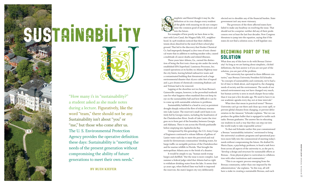WINTER 2009 B R E N A U W I N I N ⇒ 15

"How many i's in "sustainability?" a student asked as she made notes during a lecture. Figuratively, like the word "team," there should not be any. Sustainability isn't about "you" or "me," but those who come after us. The U. S. Environmental Protection Agency provides the operative definition these days: Sustainability is "meeting the needs of the present generation without compromising the ability of future generations to meet their own needs."

### **By rudi KieFer**

implistic and flawed though it may be, the definition at its crux charges every resident of the globe with ensuring we do not compro mise the common good of mankind now and  $\mathcal{I}_{\text{into the future.}}$ 

 For examples of how poorly we have done so far, start with Love Canal, the Niagara Falls, N.Y., neighbor hood. In 1978 residents noticed that their children's tennis shoes dissolved in the mud of their school play ground. That led to the discovery that Hooker Chemical Co. had improperly dumped 21,800 tons of toxic chemi cal waste that in addition to melting sneaker soles, caused a multitude of cancer deaths and related illnesses.

 Three years later Athens, Ga., earned the distinc tion of being the first toxic clean-up site under the newly established EPA Superfund. Luminous Processes, Inc. ceased operations at its facility on Atlanta Highway near the city limits, leaving behind radioactive waste and a contaminated building that threatened such a huge environmental disaster that 18,000 cubic feet of topsoil and 2,400 drums of chemicals containing Radium-226 and Tritium had to be removed.

elected not to shoulder any of the financial burden. State government isn't any more visionary.

 The governors of the three affected states have failed to make any headway on resolving the issue. That should not be a surprise: neither did any of their prede cessors over at least the last four decades. Now Congress threatens to jump into the equation, saying that if the states do not find a solution soon, it will legislate one.

# BECOMING PART OF THE **SOLUTION**

 Lapping at the shoreline not too far from Brenau's Gainesville campus, however, is the proverbial textbook case for what happens when mankind does not keep its eye on the sustainability ball and how dificult it can be to come up with sustainable solutions to problems.

 Unimpressed by this genealogy, the U.S. Army Corps of Engineers continued to release billions of gallons of Lanier water each day to meet the perceived and real needs for downstream communities' drinking water, for barge trafic on navigable portions of the Chattahoochee and for marine wildlife in Florida. That brought the metropolitan Atlanta area to the brink of a disaster.

![](_page_6_Picture_0.jpeg)

# SUSTAINABILITY a de la UITY

 It would be simple to say, "human needs trump barges and shellish." But the issue is more complex. Last summer a federal judge ruled that Atlanta had no right to withdraw drinking water from the lake. It seems that 50 years ago, when Buford Dam was built to impound the reservoir, the state's largest city very deliberately

 Sustainability bubbled to a head in 2007 as persistent drought sharply reduced the flow of tributary streams into Lake Lanier. The reservoir's small catch basin is en tirely fed by Georgia waters, including the headwaters of the Chattahoochee River. South of Lake Lanier the river goes on to form part of the boundary between Georgia and Alabama. Then it cuts across the Florida panhandle before emptying into Apalachicola Bay. What does that mean in practical terms? "Brenau University can't go out there and clean up a toxic spill, or prevent global climates from changing, or prevent defor estation in the Amazon," Schrader explains. "But we can produce the golden bullet that is equipped to tackle such tasks: Brenau graduates. The answer lies in educating our students in such a way that they can step out into the world ready to take responsible action."

What does any of this have to do with Brenau Univer sity? As long as we are batting about simplistic, clichéd definitions, the best answer is if you are not part of the solution, you are part of the problem.

 "This university has operated in three different cen turies," says Brenau University President Ed Schrader. "In concepts of sustainability and continuity, we've had a lot of time to think about, and respond to, the changing needs of society and the environment. The needs of our natural environment may not have changed very much, but human activity is seen in much sharper focus today than it was just a few decades ago. We need to have it on our academic agenda every day, not at time intervals."

 To that end Schrader earlier this year commissioned a Brenau "sustainability initiative," envisioned to bring the university's academic programs and operational prac tices more fully into the commonweal of meeting today's needs without compromising the future. He drafted Dr. Maria Zayas, a psychology professor, to head a task force from across all aspects of the university to, as she put it, "develop a design and structure for sustainable efforts at Brenau – from physical plant to curriculum to collabora tion with other institutions and communities."

 "This is an organic process emerging from the Brenau community, rather than one imposed by the administration," she explains. "In this way, all will have a stake in creating a sustainable Brenau, and each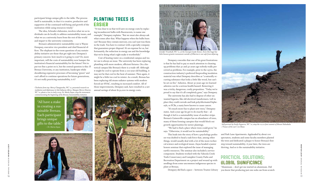**WINTER** WINTER 2009 B R E N A U W I N I N ⇒ 17

participant brings unique gifts to the table. The process itself is sustainable, in that it is creative, productive and supportive of the continued well-being and growth of the institution while using resources wisely."

 The idea, Schrader elaborates, involves what we as individuals can do locally to address sustainability issues, and what we as a university learn from the rest of the world and impart to the university community.

# PLANTING TREES IS **EASIER**

 Brenau's administrative sustainability czar is Wayne Dempsey, executive vice president and chief financial officer. The elephant-in-the-room questions of any sustainability initiative are those that get right into Dempsey's primary concern: how much is it going to cost? Or, more important, will the costs of sustainability now hamper the institution's financial sustainability for the future? Not to put too fine a point on it, but the central question is this: If Brenau University, or any institution, bankrupts while shouldering expensive processes of becoming "green" and can't afford to continue operations for future generations, it's not really practicing sustainability, is it?

 "It was clear to us that we'd save on energy costs by replacing incandescent bulbs with fluorescents, to name one example," Dempsey explains. "But we must also always ask what comes after that. What happens when the bulbs burn out? Because they contain mercury, you can't just toss them in the trash. You have to contract with a specialty company that guarantees proper disposal. It's an expense for us, but fortunately, the reduction in energy use and the knowledge that we're doing what's right make it worthwhile."

> "We had to find a place where trees could grow," he says. "Otherwise, it would not be sustainability."

 Cost of heating water on a residential campus and water use is always an issue. The university has been replacing plumbing with more modern, efficient fixtures. On a historical campus like Brenau's there is a trade-off: Although it might be cool to operate from a 100-year-old building, it may not be that cool in the heat of summer. Then again, it might be a little too cool in winter. As a result, Brenau has been replacing old steam radiator systems with modern forced-air HVAC, resulting in increased comfort. All of those improvements, Dempsey said, have resulted in a net annual savings of about \$132,000 in energy costs.

 Dempsey concedes that one of his great frustrations is that he has had to pay so much attention to cleaning up problems that 30 and 40 years ago nobody really perceived as problems. For example, prior to the 1970s, the construction industry's preferred fireproofing insulation material was what Dempsey describes as "a naturally occurring substance that looks a little like wood, but can't be set on fire." Asbestos. About 30 years ago we learned asbestos can be a serious health hazard. Removing it was a tricky, dangerous, costly proposition. "Today we're proud to say that it's all completely gone," says Dempsey.

 The university has also had to dispose of other unwanted legacies, like old electrical transformers. Left in place they could corrode and leak polychlorinated biphenyls, or PCBs, a nasty brew known to cause cancer.

 "It's much more fun to plant new trees," Dempsey states. And a year ago he got to do exactly that – although it led to a sustainability issue of another stripe. Brenau's Gainesville campus has an abundance of trees, many of them forming canopies that would block out growth opportunities for newer plantings.

 This leads into the story of how a psychology professor was drafted to head a task force that, among other things, would usually deal with a lot of the more technical science and ecological issues. Zayas headed a junior honors seminar that explored the issue of managing earth's resources. The seminar also included a service component. Students worked with the Yahoola Creek Trails Conservancy and Lumpkin County Parks and Recreation Department on a project and wound up with seedlings from some uncommon indigenous species to plant at Brenau.

Dempsey did find a space – between Trustee Library

and Park Lane Apartments. Applauded by about 100 spectators, students and some faculty members planted the trees and dedicated a plaque to honor Brenau's first step toward sustainability. A year later, the trees are thriving. And so is the sustainability initiative.

# PRACTICAL SOLUTIONS; GLOBAL SIGNIFICANCE

"Aluminum – don't get me started on aluminum. Did you know that producing just one soda can from scratch

"All have a stake in creating a sustainable Brenau. Each participant brings unique gifts to the table." *– Dr. Maria Zayas*

![](_page_7_Picture_5.jpeg)

![](_page_7_Picture_11.jpeg)

*Jennifer Trumbull, WC '11, at the Georgia Guide Stones. Even this huge but little-known granite monument outside of Elberton is not safe from defacing.*

![](_page_7_Picture_28.jpeg)

*Self-portrait by Emily Esguerra, WC '10, atop the 10,112-foot summit of Mount Haleakala ("house of the sun") on Maui.*

*Clockwise from top: Mercy Changwesha, WC '10, presented research on mediation and diplomacy in Sub-Saharan Africa. Maegan Mercer-Bourne, WC '10, plants a tree in early 2009. Dr. Maria Zayas, atop the monument commemorating the beginning of the Brenau Sustainability initiative.*

![](_page_7_Picture_10.jpeg)

![](_page_7_Picture_6.jpeg)

![](_page_7_Picture_20.jpeg)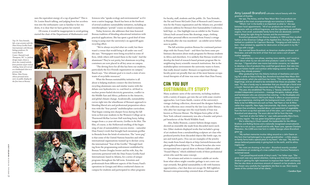uses the equivalent energy of a cup of gasoline?" This is Dr. Louise Bauck talking, and judging from her acceleration into the enthusiastic cant so familiar to her students, it is clear that we have gotten her started.

 Of course, it would be inappropriate to avoid getting started the chair of the Department of Mathematics and

Sciences who "speaks ecology and environmental" as if it were a native language. Bauck has been at the forefront of several academic sustainability initiatives, including an interdisciplinary "portals" course on island ecosystems.

 Today, however, she addresses that time-honored Brenau tradition of blending educational initiatives with practical applications. She has spent a good deal of time trying to jump-start the university's on-again/off-again recycling effort.

 "We've always recycled what we could, but there wasn't a venue that would bring it all under one roof," she says. "Newspapers were being recycled in some offices, while others still tossed them in the trash." And the aluminum? They're not pretty, but aluminum recycling containers are now placed in all key areas on campus.

 "The driving force for all this has been our students, particularly the Eco-Friends organization on campus," Bauck says. "Our ultimate goal is to reach a state of zero waste of recyclable resources."

 What the Brenau sustainability initiative is all about is helping students connect the dots between recycling aluminum cans and similar wastes with the debate over hydroelectric vs. coal-fired vs. oil-fired vs. nuclear power-fueled electricity generation, conlict in the Middle East and Africa, pollution in the Antarctic, and global climate change. Academically, sustainability curves right into the wheelhouse of Brenau's approach to blending liberal arts and professional preparation education with the "four portals" multidiscipline curriculum. That began coming into sharper focus during the fall term as first-year students in the Women's College sat in Thurmond-McRae Lecture Hall watching fuzzy, fading images from a 21-year-old movie, *Gorillas in the Mist*. The film, of course, is the Hollywood retelling of the beginning of one of sustainability's success stories – naturalist Dian Fossey's work that brought back mountain gorillas in Rwanda from the brink of extinction. The "news peg" is that some of the United Nations branches and other international organizations teamed up to declare 2009 the international "Year of the Gorilla." Through funding from the programming endowment established by Brenau Trustee Douglas Ivester and his wife, Kay, the university partnered with the Dian Fossey Gorilla Fund International, based in Atlanta, for a series of unique programs throughout the fall term. Scientists and professionals from different aspects of the Fossey Fund's operations in Georgia and Africa conducted classes on campus for students and participated in other programs

### Amy Leavell Bransford cultivates natural beauty with the greenest of thumbs.

 "What's 'not' in the bottle is as important as what is," she says between facial appointments. "All of our products are nontoxic and biodynamic with no artificial fragrances, and the ingredients are certifiably organic, from small, sustainable family farms that are absolutely committed to doing the right thing for humans and the environment."

for faculty, staff, students and the public. Dr. Tara Stoinski, the Pat and Forest McGrath Chair of Research and Conservation for the Fossey organization and the Atlanta zoo, provided a keynote address for Brenau's first Sustainability Conference, held Sept. 22. One highlight was an exhibit in the Trustee Library built around items like drawings, maps, clothing and other personal effects recovered from Fossey's cottage in Rwanda after she was murdered – an exhibit never before seen in public.

 The fall activities position Brenau for continued partnerships with the Fossey Fund – and there has been some preliminary discussion about study programs for Brenau students in Africa and elsewhere. It is unlikely that Brenau would ever develop the kind of research-based primate program like its neighboring heavy scientiic research institutions. But in the multidiscipline environment the university wants to foster, that really doesn't matter: Brenau's occupational therapy faculty point out proudly that one of the most famous occupational therapists of all time was none other than Dian Fossey.

# CAN YOU BUY SUSTAINABILITY STUFF?

Many academic units of the university, including students with a variety of majors, got into the act with some creative approaches. Lori Gann-Smith, curator of the university's vintage clothing collection, showcased the designer fashions in the collection once owned by the late Lucy Jadot Shirazi, who after her marriage into the royal family of Iran was known as Princess Shirazi. The Belgian-born pillar of the New York cultural community was also a founder and principal benefactor of the World Wildlife Fund.

 Also, Bailey Branson, a junior fashion design major, showed an ensemble she made from discarded men's neckties. Other students displayed works that included a group of art students from a metalsmithing sculpture art class who produced jewelry from discarded objects like bottle caps, tin jars and watch parts. (You can see examples of the jewelry they made from found objects at http://artsweb.brenau.edu/ photogallery/foundobjects). The student broaches also were incorporated into a special show at Brenau Galleries called "Found Objects," which exhibited works of three professional artists who used the same concept.

 For artisans and artists to construct salable art works from what others might consider garbage is not a new concept certainly. But global sustainability is rife with business opportunities, a fact that does not escape Dr. Bill Lightfoot, Brenau's entrepreneurship-oriented dean of business and

 Her spa, The Aviary, and her New Moon Skin Care products are regarded as the most uncompromisingly eco-conscious in Atlanta.

 Bransford graduated from Brenau Academy in 1993 and then studied fashion at the American College of the Applied Arts. During her 20s, she worked as a publicist for Capricorn Records. "Hanging out with bands in bars – that satiated my appetite for destruction at that point in my life," she says with a laugh.

 She married Steve Bransford, an American studies professor and filmmaker, and with the birth of their first son came a sort of earthmother epiphany.

 "I was entering a new phase, wanting more stability, and I cared so much about what my son ate and what products I used on his body," she says. "I figured other new moms had similar concerns, so I decided to develop a line of products they could feel good about, that take into account holistic health and nutrition while helping women discover the beauty they already possess."

 After graduating from the Atlanta Institute of Aesthetics and working for a while at Natural Body Spa, Bransford launched New Moon Skin Care products, which she sold from her home. "The name represents new beginnings, and we all need to be reminded that those are possible," she says. "It's also a handy way to remember that you should get a facial once a month. Normal skin cells rejuvenate every 28 days, like the lunar cycle."

 This year, she established The Aviary, a "beauty collective" of likeminded independent contractors – massage therapists, makeup artists, and hairdressers who use ammonia-free coloring – in the Studioplex arts center in Atlanta's historic Old Fourth Ward. It offers an unconventional day-spa experience, starting with the background music, which is more likely to be hot Billboard acts such as Feist, Yael Naim or Iron & Wine rather than soporific, New Agey instrumentals. Hip clients, scanning the paraben-free emollients, recycled décor, and assortment of vegetables from the farm co-op that operates out of the salon, can't resist turning to Bransford and observing: The acorn did not fall far from the tree.

 "Just look at who her father is," says radio personality Mara Davis, an Aviary regular. "He was green long before green was cool."

 She is referring to Chuck Leavell, the keyboardist for the Allman Brothers and Rolling Stones and a nationally recognized conservationist. When he is not on tour, Leavell and his wife, Rose Lane, operate Charlane Plantation, the 2,000-acre tree farm in middle Georgia where Bransford grew up.

 "My earliest memories involve riding around on a John Deere on this farm that had belonged to my great-grandmother – a little utopia – so family farms hold a special place in my heart," she says. "My dad has always believed passionately in giving back to the earth, and his ethics inspire me."

 Her roots are showing at the salon – Bransford recently unveiled an installation-art rendering of a tree crafted from Charlane Plantation's reclaimed wood.

 "I am proud beyond words of Amy's work," her father says. "She gives each case very special attention, making sure that that particular individual is getting the right treatment to improve their health and beauty. She has also done an enormous amount of research on her products, and has chosen very carefully the ingredients she likes to use. She's keenly aware of the comfort level of her clients."

– Candice Dyer

*Top: Dr. Tara Stoinski, left, a top scientist with the Dian Fossey Gorilla Fund International, with Brenau biology professor, Dr. Louise Bauck. Center: Hannah Leah Thompson, WC '12, fashion design major, shows a dress she created entirely from portions of pre-owned clothing. Some of it served as a lumberjack shirt in a previous life. Below: Dian Fossey, whose personal items were on public display for the irst time at Brenau.*

![](_page_8_Picture_3.jpeg)

![](_page_8_Picture_4.jpeg)

![](_page_8_Picture_5.jpeg)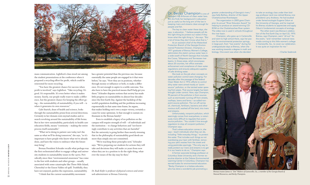mass communication. Lightfoot's class stood out among the student presentations at the conference when it proposed a recycling effort for profit, which could be reinvested for more recycling.

 "You have the greatest chance for success when profit is involved," says Lightfoot. "Take recycling: It's good. It's responsible. It's even better when it makes money. Surely, our people really want to make a difference, but the greatest chance for keeping the effort going – the sustainability of sustainability, if you will – is when it generates its own resources."

 Gale Starich, dean of health and science, looks through the sustainability prism from several directions. Certainly in her domain rests myriad studies and research revolving around the sustainability of life forms. But in her view sustainability, particularly in health care education fields, means "continuity – making the entire process itself sustainable."

 "What we're doing in patient care today isn't the same as what we'll be doing tomorrow," she says, "so it's important to have people who know what we've already done, and have the vision to embrace what the future may bring."

 Brenau President Schrader recalls what perhaps was the first orchestrated effort to engage college and university students in sustainability issues in the 1970s. Periodically since then "environmental awareness" has come to the fore with students and other groups – usually associated with some catastrophe like Three Mile Island, Chernobyl or the Exxon Valdez oil spill. Truthfully, they have not enjoyed, pardon the expression, sustainability.

"I think that the current sustainability movement

Dr. Becky Champion is one of Georgia's top enforcers of clean water laws. But she finds her background in education just as useful as the long arm of the law in keeping rivers and streams clean enough for people and fish.

has a greater potential than the previous one, because essentially the same people are engaged in it that were before," he says. "Now they are in positions, whether through money or inluence or both, to make a difference. It's not enough to aspire to a noble outcome. You also have to have the practical means that'll help get you there." Schrader disputes notions that society has made little progress on sustainability in almost four decades since the first Earth Day. Against the backdrop of the world's population doubling and the problems increasing exponentially in that same time frame, he argues, that makes holding one's own a major victory, certainly a cause for some optimism. Is that enough to sustain enthusiasm in the Brenau family?

 Even to establish a legacy of no pollution on the campus will require strength of will – of individuals and the institution – to change behaviors and "not knowingly contribute to any activities that are harmful." But the university is going farther than merely stressing that in the philosophy of sustainability good deeds are more than simply sins not committed.

 "We're teaching these principles now," Schrader says. "We're preparing our students for actions they will take and decisions they will make 20 years from now when they are in a position to do the right thing, whatever the issues of the day may be then."

*Dr. Rudi Kiefer is professor of physical sciences and senior web administrator at Brenau University.*

 The other event was Brenau's celebration of the first Earth Day on April 22, 1970. Brenau, says Champion, went "all out" for the event, "and I remember national news media coming to this little women's college in Gainesville, Ga., to cover our celebration. It was quite an inspiration for me."

 The key to clean water these days, she says, is education. "I believe people will do the right thing [to protect our water] if they know what the right thing is," she says. "But a lot of times they don't know what that is."

 As an assistant chief of the Watershed Protection Branch of the Georgia Environmental Protection Division, Champion, a 1971 graduate of Brenau Women's College, administers the state's various water laws in a wide swath of North Georgia that includes the Coosa, Tallapoosa and Tennessee river basins. In those areas, which encompass about 20 counties, her office oversees enforcement and compliance of clean water regulations and ensures adequate supplies of safe drinking water.

 She took on the job when concepts on water pollution control were changing. For decades after the passage of the federal Clean Water Act in 1972, efforts to control dirty water were aimed mostly at "pointsource" pollution, or the tainted water spewing from pipes. That source largely has been brought under control. Now, says Champion, 95 percent of the pollution is from sources such as stormwater running off from streets, rooftops, lawns and farms – so-called nonpoint-source pollution. The run-off carries oil, chemicals, fertilizers, bacteria and other noxious stuff, washed off the land, into rivers and streams.

 Unfortunately, nonpoint pollution, which seemingly comes from everywhere, is notoriously more difficult to regulate than pointsource pollution. "You couldn't hire enough regulators to stop all nonpoint pollution," Champion says.

 That's where education comes in, she says – teach individuals what they can do, including "little everyday things," to protect the water. That includes such things as not overdosing your lawn with fertilizer, removing your pet's wastes from the street and using pesticides sparingly. "The only way to really protect our rivers and streams is to get it in our hearts to do so," Champion says.

 A former associate biology professor at Columbus State University and a former executive director at the Oxbow Environmental Learning Center in Columbus, Champion has earned kudos for environmental education. "Becky Champion is a tireless educator, who has done a wonderful job promoting a

greater understanding of Georgia's rivers," says Sally Bethea, director of the Upper Chattahoochee Riverkeeper.

 The organization in 2005 gave Champion its annual "River Educator Award" for helping to produce an award-winning CD-ROM on the Chattahoochee River system. The video now is used in schools throughout the river basin.

 Champion, who grew up in Cartersville and went to high school there, says her passion for environmental protection springs, in large part, from "two events" during her undergraduate days at Brenau, when she was working towards a degree in math and biology. One event was when she decided

to take an ecology class under then biology professor (and now retired Brenau vice president) Larry Andrews. He had studied under famed ecologist Eugene Odum at the University of Georgia, and he inspired his Brenau students to appreciate and apply Odum's fundamental concepts of ecology.

– Charles Seabrook

![](_page_9_Picture_0.jpeg)

![](_page_9_Picture_26.jpeg)

*Brenau trustee James A. "Jim" Walters of Gainesville, Ga., a member of the Georgia Board of Natural Resources, and Becky Champion.*